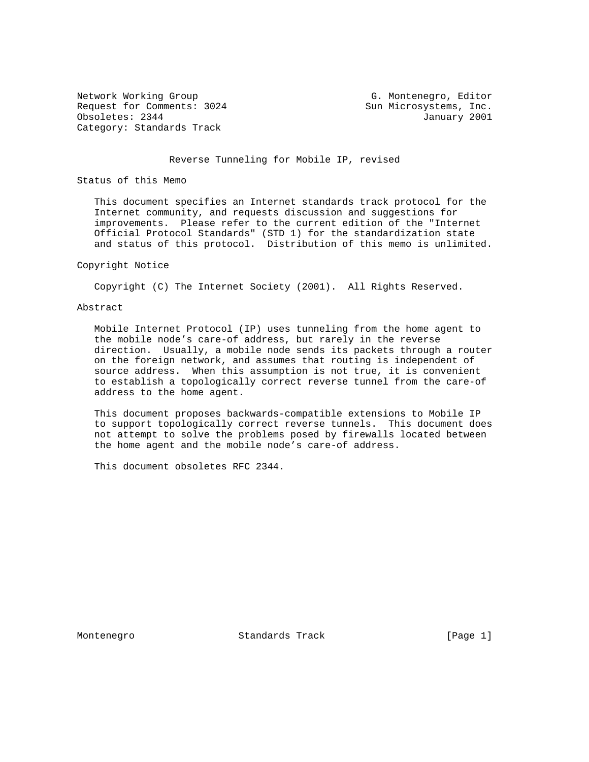Network Working Group G. Montenegro, Editor Request for Comments: 3024 Sun Microsystems, Inc. Obsoletes: 2344 January 2001 Category: Standards Track

#### Reverse Tunneling for Mobile IP, revised

Status of this Memo

 This document specifies an Internet standards track protocol for the Internet community, and requests discussion and suggestions for improvements. Please refer to the current edition of the "Internet Official Protocol Standards" (STD 1) for the standardization state and status of this protocol. Distribution of this memo is unlimited.

#### Copyright Notice

Copyright (C) The Internet Society (2001). All Rights Reserved.

## Abstract

 Mobile Internet Protocol (IP) uses tunneling from the home agent to the mobile node's care-of address, but rarely in the reverse direction. Usually, a mobile node sends its packets through a router on the foreign network, and assumes that routing is independent of source address. When this assumption is not true, it is convenient to establish a topologically correct reverse tunnel from the care-of address to the home agent.

 This document proposes backwards-compatible extensions to Mobile IP to support topologically correct reverse tunnels. This document does not attempt to solve the problems posed by firewalls located between the home agent and the mobile node's care-of address.

This document obsoletes RFC 2344.

Montenegro Standards Track [Page 1]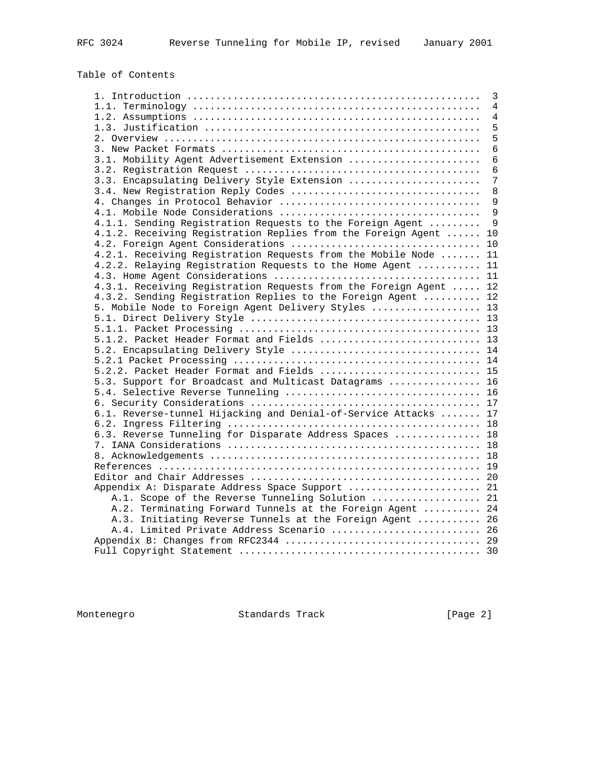# Table of Contents

|                                                                   | $\mathbf{3}$   |
|-------------------------------------------------------------------|----------------|
|                                                                   | 4              |
|                                                                   | $\overline{4}$ |
|                                                                   | 5              |
|                                                                   | 5              |
|                                                                   | $\overline{6}$ |
| 3.1. Mobility Agent Advertisement Extension                       | $\overline{6}$ |
|                                                                   | $\epsilon$     |
| 3.3. Encapsulating Delivery Style Extension                       | $\overline{7}$ |
| 3.4. New Registration Reply Codes                                 | 8              |
|                                                                   | 9              |
|                                                                   | $\mathsf{Q}$   |
| 4.1.1. Sending Registration Requests to the Foreign Agent         | 9              |
| 4.1.2. Receiving Registration Replies from the Foreign Agent      | 10             |
| 4.2. Foreign Agent Considerations                                 | 10             |
| 4.2.1. Receiving Registration Requests from the Mobile Node  11   |                |
|                                                                   |                |
| 4.2.2. Relaying Registration Requests to the Home Agent  11       |                |
|                                                                   |                |
| 4.3.1. Receiving Registration Requests from the Foreign Agent  12 |                |
| 4.3.2. Sending Registration Replies to the Foreign Agent  12      |                |
| 5. Mobile Node to Foreign Agent Delivery Styles  13               |                |
|                                                                   |                |
|                                                                   |                |
| 5.1.2. Packet Header Format and Fields  13                        |                |
| 5.2. Encapsulating Delivery Style  14                             |                |
|                                                                   |                |
| 5.2.2. Packet Header Format and Fields  15                        |                |
| 5.3. Support for Broadcast and Multicast Datagrams  16            |                |
|                                                                   |                |
|                                                                   |                |
| 6.1. Reverse-tunnel Hijacking and Denial-of-Service Attacks  17   |                |
|                                                                   |                |
| 6.3. Reverse Tunneling for Disparate Address Spaces  18           |                |
|                                                                   |                |
|                                                                   |                |
|                                                                   |                |
|                                                                   |                |
| Appendix A: Disparate Address Space Support  21                   |                |
| A.1. Scope of the Reverse Tunneling Solution  21                  |                |
| A.2. Terminating Forward Tunnels at the Foreign Agent  24         |                |
| A.3. Initiating Reverse Tunnels at the Foreign Agent  26          |                |
| A.4. Limited Private Address Scenario  26                         |                |
|                                                                   |                |
|                                                                   |                |
|                                                                   |                |

Montenegro Standards Track [Page 2]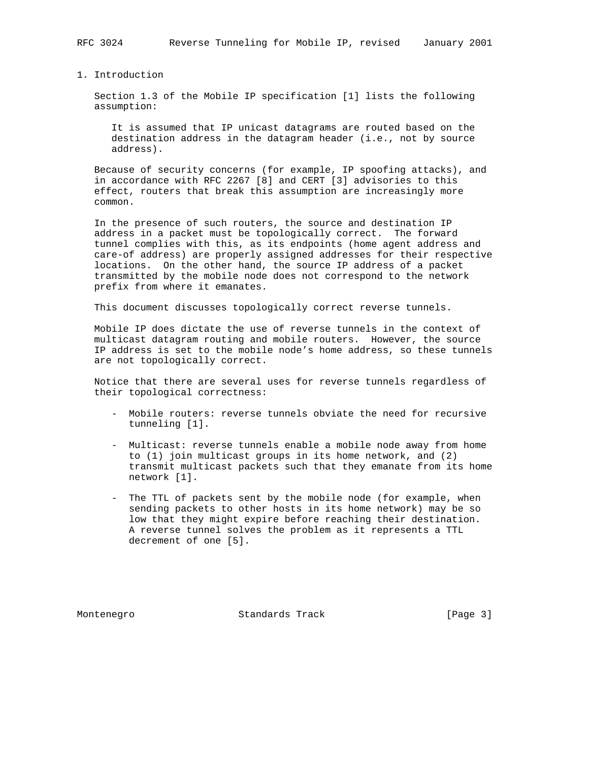Section 1.3 of the Mobile IP specification [1] lists the following assumption:

 It is assumed that IP unicast datagrams are routed based on the destination address in the datagram header (i.e., not by source address).

 Because of security concerns (for example, IP spoofing attacks), and in accordance with RFC 2267 [8] and CERT [3] advisories to this effect, routers that break this assumption are increasingly more common.

 In the presence of such routers, the source and destination IP address in a packet must be topologically correct. The forward tunnel complies with this, as its endpoints (home agent address and care-of address) are properly assigned addresses for their respective locations. On the other hand, the source IP address of a packet transmitted by the mobile node does not correspond to the network prefix from where it emanates.

This document discusses topologically correct reverse tunnels.

 Mobile IP does dictate the use of reverse tunnels in the context of multicast datagram routing and mobile routers. However, the source IP address is set to the mobile node's home address, so these tunnels are not topologically correct.

 Notice that there are several uses for reverse tunnels regardless of their topological correctness:

- Mobile routers: reverse tunnels obviate the need for recursive tunneling [1].
- Multicast: reverse tunnels enable a mobile node away from home to (1) join multicast groups in its home network, and (2) transmit multicast packets such that they emanate from its home network [1].
- The TTL of packets sent by the mobile node (for example, when sending packets to other hosts in its home network) may be so low that they might expire before reaching their destination. A reverse tunnel solves the problem as it represents a TTL decrement of one [5].

Montenegro Standards Track [Page 3]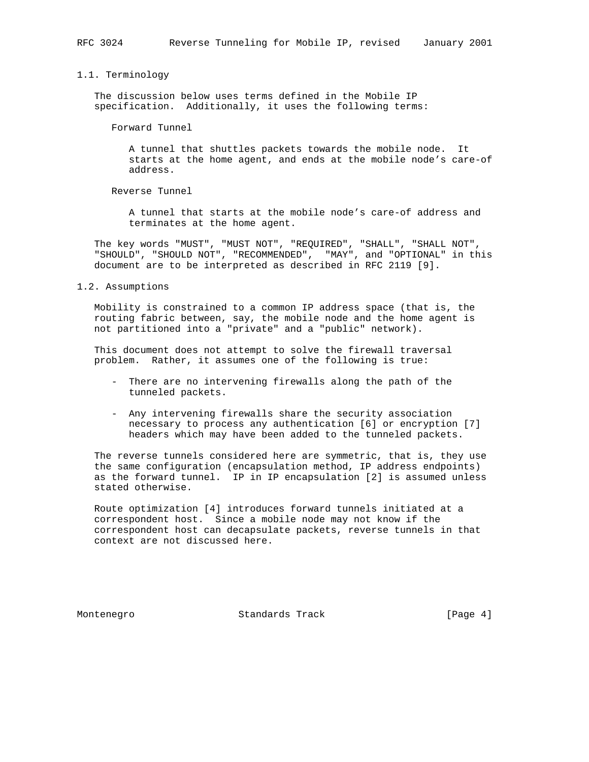### 1.1. Terminology

 The discussion below uses terms defined in the Mobile IP specification. Additionally, it uses the following terms:

Forward Tunnel

 A tunnel that shuttles packets towards the mobile node. It starts at the home agent, and ends at the mobile node's care-of address.

Reverse Tunnel

 A tunnel that starts at the mobile node's care-of address and terminates at the home agent.

 The key words "MUST", "MUST NOT", "REQUIRED", "SHALL", "SHALL NOT", "SHOULD", "SHOULD NOT", "RECOMMENDED", "MAY", and "OPTIONAL" in this document are to be interpreted as described in RFC 2119 [9].

1.2. Assumptions

 Mobility is constrained to a common IP address space (that is, the routing fabric between, say, the mobile node and the home agent is not partitioned into a "private" and a "public" network).

 This document does not attempt to solve the firewall traversal problem. Rather, it assumes one of the following is true:

- There are no intervening firewalls along the path of the tunneled packets.
- Any intervening firewalls share the security association necessary to process any authentication [6] or encryption [7] headers which may have been added to the tunneled packets.

 The reverse tunnels considered here are symmetric, that is, they use the same configuration (encapsulation method, IP address endpoints) as the forward tunnel. IP in IP encapsulation [2] is assumed unless stated otherwise.

 Route optimization [4] introduces forward tunnels initiated at a correspondent host. Since a mobile node may not know if the correspondent host can decapsulate packets, reverse tunnels in that context are not discussed here.

Montenegro Standards Track [Page 4]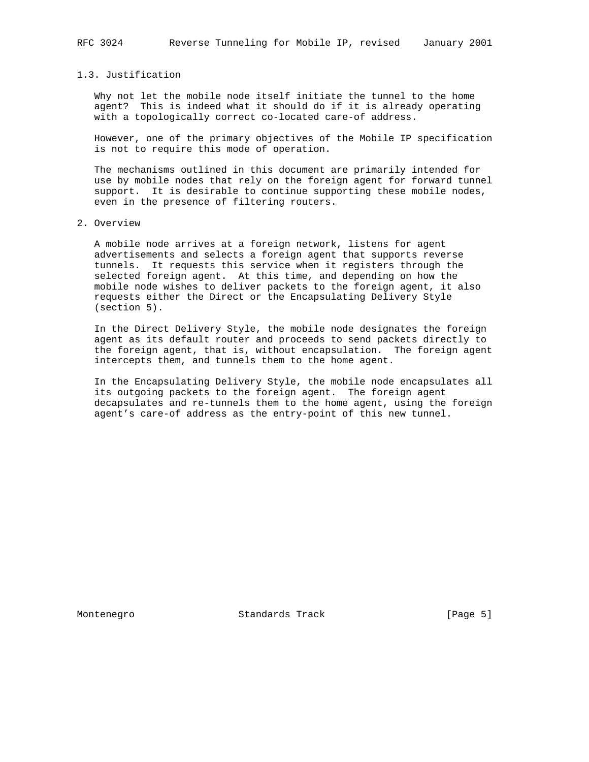#### 1.3. Justification

 Why not let the mobile node itself initiate the tunnel to the home agent? This is indeed what it should do if it is already operating with a topologically correct co-located care-of address.

 However, one of the primary objectives of the Mobile IP specification is not to require this mode of operation.

 The mechanisms outlined in this document are primarily intended for use by mobile nodes that rely on the foreign agent for forward tunnel support. It is desirable to continue supporting these mobile nodes, even in the presence of filtering routers.

2. Overview

 A mobile node arrives at a foreign network, listens for agent advertisements and selects a foreign agent that supports reverse tunnels. It requests this service when it registers through the selected foreign agent. At this time, and depending on how the mobile node wishes to deliver packets to the foreign agent, it also requests either the Direct or the Encapsulating Delivery Style (section 5).

 In the Direct Delivery Style, the mobile node designates the foreign agent as its default router and proceeds to send packets directly to the foreign agent, that is, without encapsulation. The foreign agent intercepts them, and tunnels them to the home agent.

 In the Encapsulating Delivery Style, the mobile node encapsulates all its outgoing packets to the foreign agent. The foreign agent decapsulates and re-tunnels them to the home agent, using the foreign agent's care-of address as the entry-point of this new tunnel.

Montenegro Standards Track [Page 5]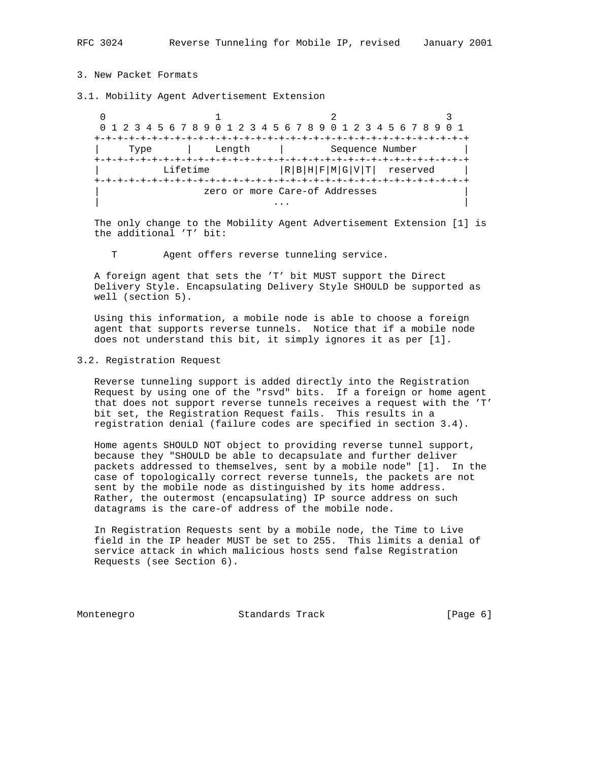3. New Packet Formats

3.1. Mobility Agent Advertisement Extension

0  $1$  2 3 0 1 2 3 4 5 6 7 8 9 0 1 2 3 4 5 6 7 8 9 0 1 2 3 4 5 6 7 8 9 0 1 +-+-+-+-+-+-+-+-+-+-+-+-+-+-+-+-+-+-+-+-+-+-+-+-+-+-+-+-+-+-+-+-+ | Type | Length | Sequence Number | +-+-+-+-+-+-+-+-+-+-+-+-+-+-+-+-+-+-+-+-+-+-+-+-+-+-+-+-+-+-+-+-+  $Lifetime$  |R|B|H|F|M|G|V|T| reserved | +-+-+-+-+-+-+-+-+-+-+-+-+-+-+-+-+-+-+-+-+-+-+-+-+-+-+-+-+-+-+-+-+ zero or more Care-of Addresses | ... | ... | ... | ... | ... | ... | ... | ... | ... | ... | ... | ... | ... | ... | ... | ... | ... | ... | .

 The only change to the Mobility Agent Advertisement Extension [1] is the additional 'T' bit:

T Agent offers reverse tunneling service.

 A foreign agent that sets the 'T' bit MUST support the Direct Delivery Style. Encapsulating Delivery Style SHOULD be supported as well (section 5).

 Using this information, a mobile node is able to choose a foreign agent that supports reverse tunnels. Notice that if a mobile node does not understand this bit, it simply ignores it as per [1].

## 3.2. Registration Request

 Reverse tunneling support is added directly into the Registration Request by using one of the "rsvd" bits. If a foreign or home agent that does not support reverse tunnels receives a request with the 'T' bit set, the Registration Request fails. This results in a registration denial (failure codes are specified in section 3.4).

 Home agents SHOULD NOT object to providing reverse tunnel support, because they "SHOULD be able to decapsulate and further deliver packets addressed to themselves, sent by a mobile node" [1]. In the case of topologically correct reverse tunnels, the packets are not sent by the mobile node as distinguished by its home address. Rather, the outermost (encapsulating) IP source address on such datagrams is the care-of address of the mobile node.

 In Registration Requests sent by a mobile node, the Time to Live field in the IP header MUST be set to 255. This limits a denial of service attack in which malicious hosts send false Registration Requests (see Section 6).

Montenegro Standards Track [Page 6]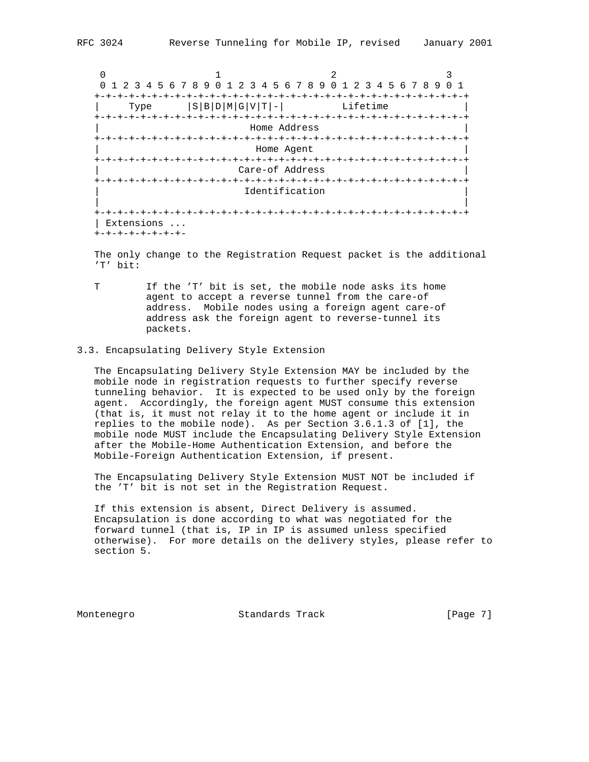0  $1$  2 3 0 1 2 3 4 5 6 7 8 9 0 1 2 3 4 5 6 7 8 9 0 1 2 3 4 5 6 7 8 9 0 1 +-+-+-+-+-+-+-+-+-+-+-+-+-+-+-+-+-+-+-+-+-+-+-+-+-+-+-+-+-+-+-+-+ | Type |S|B|D|M|G|V|T|-| Lifetime | +-+-+-+-+-+-+-+-+-+-+-+-+-+-+-+-+-+-+-+-+-+-+-+-+-+-+-+-+-+-+-+-+ | Home Address | +-+-+-+-+-+-+-+-+-+-+-+-+-+-+-+-+-+-+-+-+-+-+-+-+-+-+-+-+-+-+-+-+ Home Agent +-+-+-+-+-+-+-+-+-+-+-+-+-+-+-+-+-+-+-+-+-+-+-+-+-+-+-+-+-+-+-+-+ | Care-of Address | +-+-+-+-+-+-+-+-+-+-+-+-+-+-+-+-+-+-+-+-+-+-+-+-+-+-+-+-+-+-+-+-+ Identification | | +-+-+-+-+-+-+-+-+-+-+-+-+-+-+-+-+-+-+-+-+-+-+-+-+-+-+-+-+-+-+-+-+ | Extensions ... +-+-+-+-+-+-+-+-

 The only change to the Registration Request packet is the additional 'T' bit:

 T If the 'T' bit is set, the mobile node asks its home agent to accept a reverse tunnel from the care-of address. Mobile nodes using a foreign agent care-of address ask the foreign agent to reverse-tunnel its packets.

# 3.3. Encapsulating Delivery Style Extension

 The Encapsulating Delivery Style Extension MAY be included by the mobile node in registration requests to further specify reverse tunneling behavior. It is expected to be used only by the foreign agent. Accordingly, the foreign agent MUST consume this extension (that is, it must not relay it to the home agent or include it in replies to the mobile node). As per Section 3.6.1.3 of [1], the mobile node MUST include the Encapsulating Delivery Style Extension after the Mobile-Home Authentication Extension, and before the Mobile-Foreign Authentication Extension, if present.

 The Encapsulating Delivery Style Extension MUST NOT be included if the 'T' bit is not set in the Registration Request.

 If this extension is absent, Direct Delivery is assumed. Encapsulation is done according to what was negotiated for the forward tunnel (that is, IP in IP is assumed unless specified otherwise). For more details on the delivery styles, please refer to section 5.

Montenegro Standards Track [Page 7]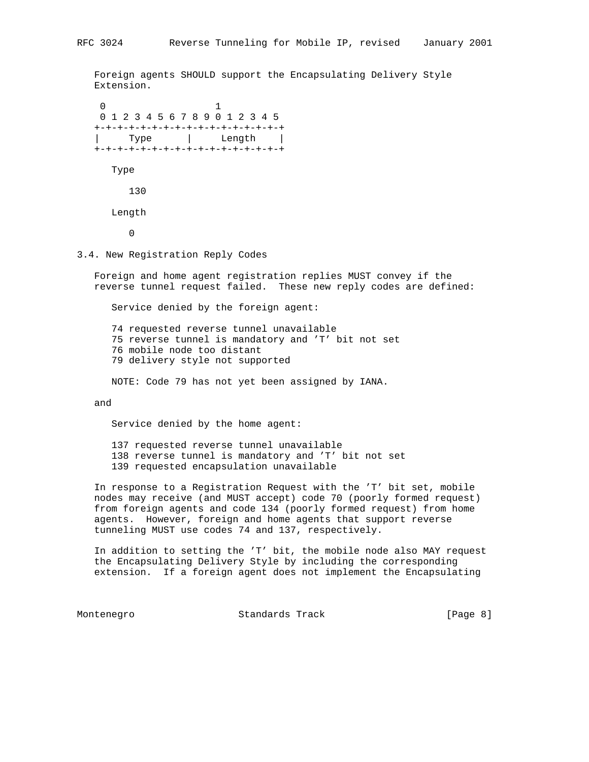Foreign agents SHOULD support the Encapsulating Delivery Style Extension.

 0 1 0 1 2 3 4 5 6 7 8 9 0 1 2 3 4 5 +-+-+-+-+-+-+-+-+-+-+-+-+-+-+-+-+ | Type | Length | +-+-+-+-+-+-+-+-+-+-+-+-+-+-+-+-+ Type 130 Length 0 3.4. New Registration Reply Codes

 Foreign and home agent registration replies MUST convey if the reverse tunnel request failed. These new reply codes are defined:

Service denied by the foreign agent:

 74 requested reverse tunnel unavailable 75 reverse tunnel is mandatory and 'T' bit not set 76 mobile node too distant 79 delivery style not supported

NOTE: Code 79 has not yet been assigned by IANA.

#### and

Service denied by the home agent:

137 requested reverse tunnel unavailable

- 138 reverse tunnel is mandatory and 'T' bit not set
- 139 requested encapsulation unavailable

 In response to a Registration Request with the 'T' bit set, mobile nodes may receive (and MUST accept) code 70 (poorly formed request) from foreign agents and code 134 (poorly formed request) from home agents. However, foreign and home agents that support reverse tunneling MUST use codes 74 and 137, respectively.

 In addition to setting the 'T' bit, the mobile node also MAY request the Encapsulating Delivery Style by including the corresponding extension. If a foreign agent does not implement the Encapsulating

Montenegro Standards Track [Page 8]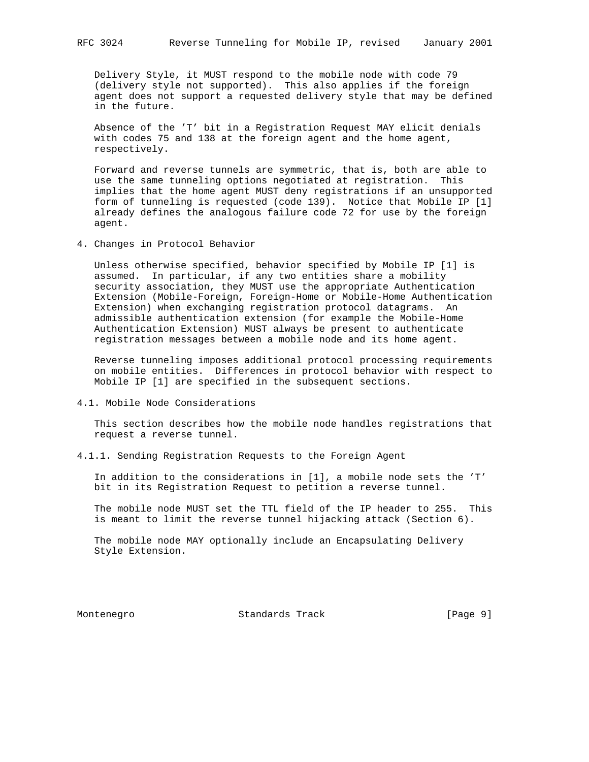Delivery Style, it MUST respond to the mobile node with code 79 (delivery style not supported). This also applies if the foreign agent does not support a requested delivery style that may be defined in the future.

 Absence of the 'T' bit in a Registration Request MAY elicit denials with codes 75 and 138 at the foreign agent and the home agent, respectively.

 Forward and reverse tunnels are symmetric, that is, both are able to use the same tunneling options negotiated at registration. This implies that the home agent MUST deny registrations if an unsupported form of tunneling is requested (code 139). Notice that Mobile IP [1] already defines the analogous failure code 72 for use by the foreign agent.

4. Changes in Protocol Behavior

 Unless otherwise specified, behavior specified by Mobile IP [1] is assumed. In particular, if any two entities share a mobility security association, they MUST use the appropriate Authentication Extension (Mobile-Foreign, Foreign-Home or Mobile-Home Authentication Extension) when exchanging registration protocol datagrams. An admissible authentication extension (for example the Mobile-Home Authentication Extension) MUST always be present to authenticate registration messages between a mobile node and its home agent.

 Reverse tunneling imposes additional protocol processing requirements on mobile entities. Differences in protocol behavior with respect to Mobile IP [1] are specified in the subsequent sections.

4.1. Mobile Node Considerations

 This section describes how the mobile node handles registrations that request a reverse tunnel.

4.1.1. Sending Registration Requests to the Foreign Agent

 In addition to the considerations in [1], a mobile node sets the 'T' bit in its Registration Request to petition a reverse tunnel.

 The mobile node MUST set the TTL field of the IP header to 255. This is meant to limit the reverse tunnel hijacking attack (Section 6).

 The mobile node MAY optionally include an Encapsulating Delivery Style Extension.

Montenegro Standards Track [Page 9]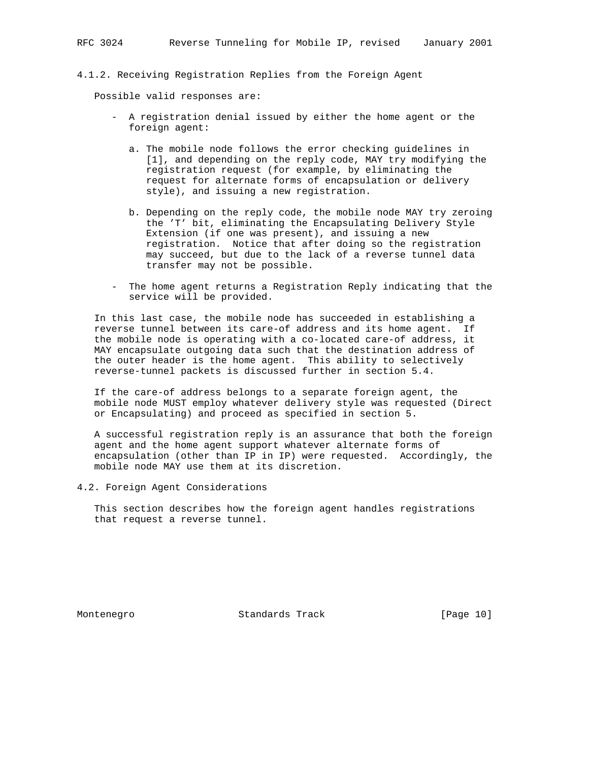# 4.1.2. Receiving Registration Replies from the Foreign Agent

Possible valid responses are:

- A registration denial issued by either the home agent or the foreign agent:
	- a. The mobile node follows the error checking guidelines in [1], and depending on the reply code, MAY try modifying the registration request (for example, by eliminating the request for alternate forms of encapsulation or delivery style), and issuing a new registration.
	- b. Depending on the reply code, the mobile node MAY try zeroing the 'T' bit, eliminating the Encapsulating Delivery Style Extension (if one was present), and issuing a new registration. Notice that after doing so the registration may succeed, but due to the lack of a reverse tunnel data transfer may not be possible.
- The home agent returns a Registration Reply indicating that the service will be provided.

 In this last case, the mobile node has succeeded in establishing a reverse tunnel between its care-of address and its home agent. If the mobile node is operating with a co-located care-of address, it MAY encapsulate outgoing data such that the destination address of the outer header is the home agent. This ability to selectively reverse-tunnel packets is discussed further in section 5.4.

 If the care-of address belongs to a separate foreign agent, the mobile node MUST employ whatever delivery style was requested (Direct or Encapsulating) and proceed as specified in section 5.

 A successful registration reply is an assurance that both the foreign agent and the home agent support whatever alternate forms of encapsulation (other than IP in IP) were requested. Accordingly, the mobile node MAY use them at its discretion.

4.2. Foreign Agent Considerations

 This section describes how the foreign agent handles registrations that request a reverse tunnel.

Montenegro Standards Track [Page 10]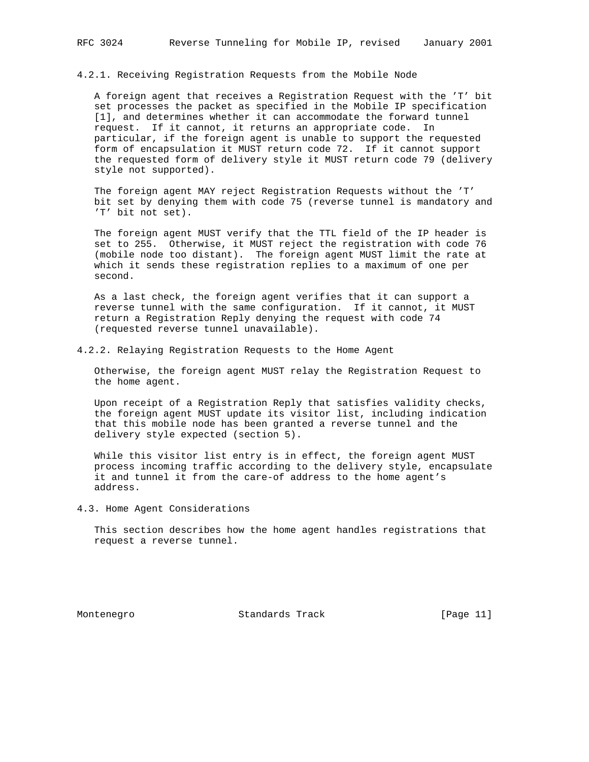4.2.1. Receiving Registration Requests from the Mobile Node

 A foreign agent that receives a Registration Request with the 'T' bit set processes the packet as specified in the Mobile IP specification [1], and determines whether it can accommodate the forward tunnel request. If it cannot, it returns an appropriate code. In particular, if the foreign agent is unable to support the requested form of encapsulation it MUST return code 72. If it cannot support the requested form of delivery style it MUST return code 79 (delivery style not supported).

 The foreign agent MAY reject Registration Requests without the 'T' bit set by denying them with code 75 (reverse tunnel is mandatory and 'T' bit not set).

 The foreign agent MUST verify that the TTL field of the IP header is set to 255. Otherwise, it MUST reject the registration with code 76 (mobile node too distant). The foreign agent MUST limit the rate at which it sends these registration replies to a maximum of one per second.

 As a last check, the foreign agent verifies that it can support a reverse tunnel with the same configuration. If it cannot, it MUST return a Registration Reply denying the request with code 74 (requested reverse tunnel unavailable).

4.2.2. Relaying Registration Requests to the Home Agent

 Otherwise, the foreign agent MUST relay the Registration Request to the home agent.

 Upon receipt of a Registration Reply that satisfies validity checks, the foreign agent MUST update its visitor list, including indication that this mobile node has been granted a reverse tunnel and the delivery style expected (section 5).

 While this visitor list entry is in effect, the foreign agent MUST process incoming traffic according to the delivery style, encapsulate it and tunnel it from the care-of address to the home agent's address.

4.3. Home Agent Considerations

 This section describes how the home agent handles registrations that request a reverse tunnel.

Montenegro Standards Track [Page 11]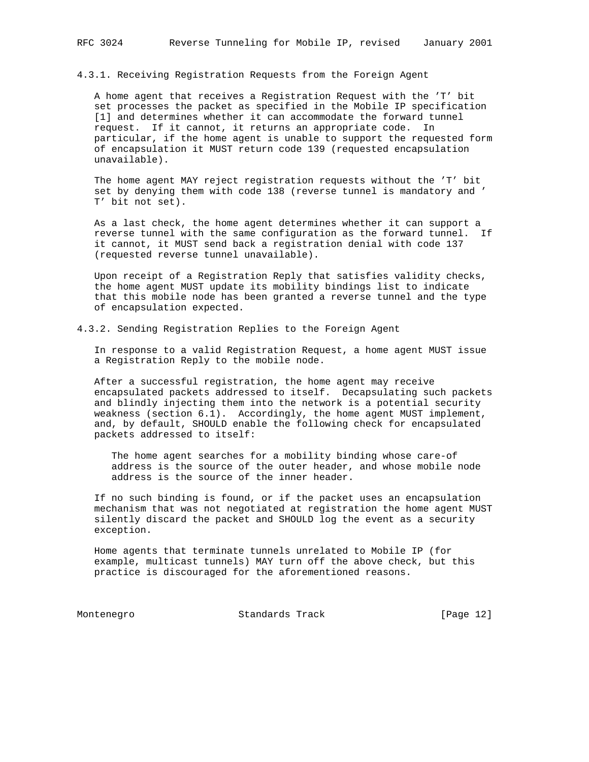4.3.1. Receiving Registration Requests from the Foreign Agent

 A home agent that receives a Registration Request with the 'T' bit set processes the packet as specified in the Mobile IP specification [1] and determines whether it can accommodate the forward tunnel request. If it cannot, it returns an appropriate code. In particular, if the home agent is unable to support the requested form of encapsulation it MUST return code 139 (requested encapsulation unavailable).

 The home agent MAY reject registration requests without the 'T' bit set by denying them with code 138 (reverse tunnel is mandatory and ' T' bit not set).

 As a last check, the home agent determines whether it can support a reverse tunnel with the same configuration as the forward tunnel. If it cannot, it MUST send back a registration denial with code 137 (requested reverse tunnel unavailable).

 Upon receipt of a Registration Reply that satisfies validity checks, the home agent MUST update its mobility bindings list to indicate that this mobile node has been granted a reverse tunnel and the type of encapsulation expected.

4.3.2. Sending Registration Replies to the Foreign Agent

 In response to a valid Registration Request, a home agent MUST issue a Registration Reply to the mobile node.

 After a successful registration, the home agent may receive encapsulated packets addressed to itself. Decapsulating such packets and blindly injecting them into the network is a potential security weakness (section 6.1). Accordingly, the home agent MUST implement, and, by default, SHOULD enable the following check for encapsulated packets addressed to itself:

 The home agent searches for a mobility binding whose care-of address is the source of the outer header, and whose mobile node address is the source of the inner header.

 If no such binding is found, or if the packet uses an encapsulation mechanism that was not negotiated at registration the home agent MUST silently discard the packet and SHOULD log the event as a security exception.

 Home agents that terminate tunnels unrelated to Mobile IP (for example, multicast tunnels) MAY turn off the above check, but this practice is discouraged for the aforementioned reasons.

Montenegro Standards Track [Page 12]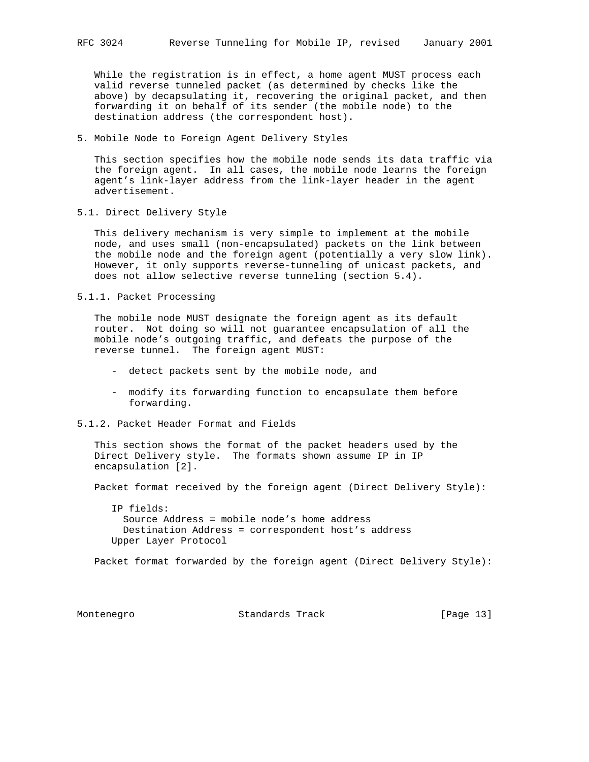While the registration is in effect, a home agent MUST process each valid reverse tunneled packet (as determined by checks like the above) by decapsulating it, recovering the original packet, and then forwarding it on behalf of its sender (the mobile node) to the destination address (the correspondent host).

5. Mobile Node to Foreign Agent Delivery Styles

 This section specifies how the mobile node sends its data traffic via the foreign agent. In all cases, the mobile node learns the foreign agent's link-layer address from the link-layer header in the agent advertisement.

5.1. Direct Delivery Style

 This delivery mechanism is very simple to implement at the mobile node, and uses small (non-encapsulated) packets on the link between the mobile node and the foreign agent (potentially a very slow link). However, it only supports reverse-tunneling of unicast packets, and does not allow selective reverse tunneling (section 5.4).

5.1.1. Packet Processing

 The mobile node MUST designate the foreign agent as its default router. Not doing so will not guarantee encapsulation of all the mobile node's outgoing traffic, and defeats the purpose of the reverse tunnel. The foreign agent MUST:

- detect packets sent by the mobile node, and
- modify its forwarding function to encapsulate them before forwarding.
- 5.1.2. Packet Header Format and Fields

 This section shows the format of the packet headers used by the Direct Delivery style. The formats shown assume IP in IP encapsulation [2].

Packet format received by the foreign agent (Direct Delivery Style):

 IP fields: Source Address = mobile node's home address Destination Address = correspondent host's address Upper Layer Protocol

Packet format forwarded by the foreign agent (Direct Delivery Style):

Montenegro Standards Track [Page 13]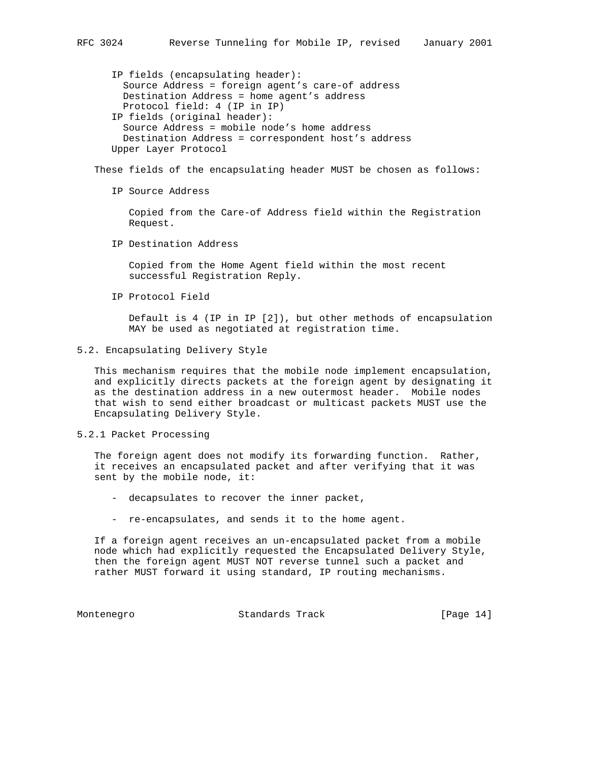IP fields (encapsulating header): Source Address = foreign agent's care-of address Destination Address = home agent's address Protocol field: 4 (IP in IP) IP fields (original header): Source Address = mobile node's home address Destination Address = correspondent host's address Upper Layer Protocol

These fields of the encapsulating header MUST be chosen as follows:

IP Source Address

 Copied from the Care-of Address field within the Registration Request.

IP Destination Address

 Copied from the Home Agent field within the most recent successful Registration Reply.

IP Protocol Field

 Default is 4 (IP in IP [2]), but other methods of encapsulation MAY be used as negotiated at registration time.

5.2. Encapsulating Delivery Style

 This mechanism requires that the mobile node implement encapsulation, and explicitly directs packets at the foreign agent by designating it as the destination address in a new outermost header. Mobile nodes that wish to send either broadcast or multicast packets MUST use the Encapsulating Delivery Style.

5.2.1 Packet Processing

 The foreign agent does not modify its forwarding function. Rather, it receives an encapsulated packet and after verifying that it was sent by the mobile node, it:

- decapsulates to recover the inner packet,
- re-encapsulates, and sends it to the home agent.

 If a foreign agent receives an un-encapsulated packet from a mobile node which had explicitly requested the Encapsulated Delivery Style, then the foreign agent MUST NOT reverse tunnel such a packet and rather MUST forward it using standard, IP routing mechanisms.

Montenegro Standards Track [Page 14]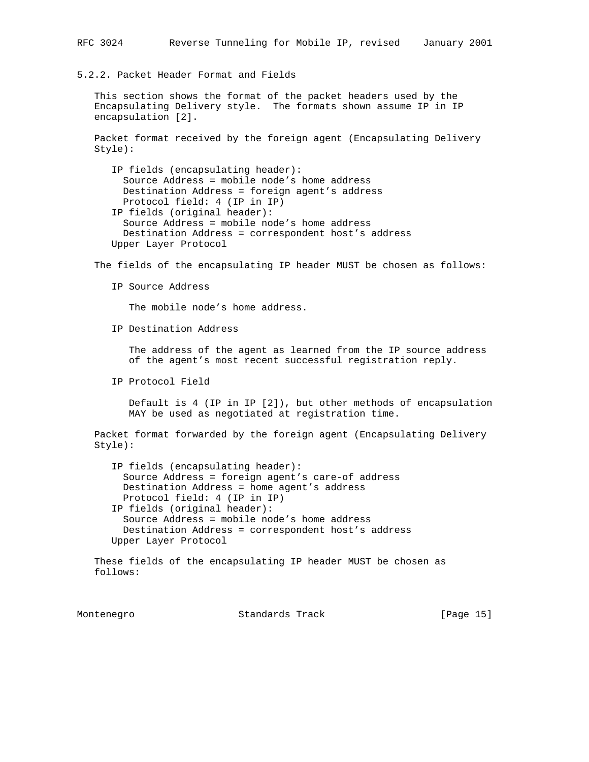5.2.2. Packet Header Format and Fields

 This section shows the format of the packet headers used by the Encapsulating Delivery style. The formats shown assume IP in IP encapsulation [2].

 Packet format received by the foreign agent (Encapsulating Delivery Style):

 IP fields (encapsulating header): Source Address = mobile node's home address Destination Address = foreign agent's address Protocol field: 4 (IP in IP) IP fields (original header): Source Address = mobile node's home address Destination Address = correspondent host's address Upper Layer Protocol

The fields of the encapsulating IP header MUST be chosen as follows:

IP Source Address

The mobile node's home address.

IP Destination Address

 The address of the agent as learned from the IP source address of the agent's most recent successful registration reply.

IP Protocol Field

 Default is 4 (IP in IP [2]), but other methods of encapsulation MAY be used as negotiated at registration time.

 Packet format forwarded by the foreign agent (Encapsulating Delivery Style):

 IP fields (encapsulating header): Source Address = foreign agent's care-of address Destination Address = home agent's address Protocol field: 4 (IP in IP) IP fields (original header): Source Address = mobile node's home address Destination Address = correspondent host's address Upper Layer Protocol

 These fields of the encapsulating IP header MUST be chosen as follows:

Montenegro Standards Track [Page 15]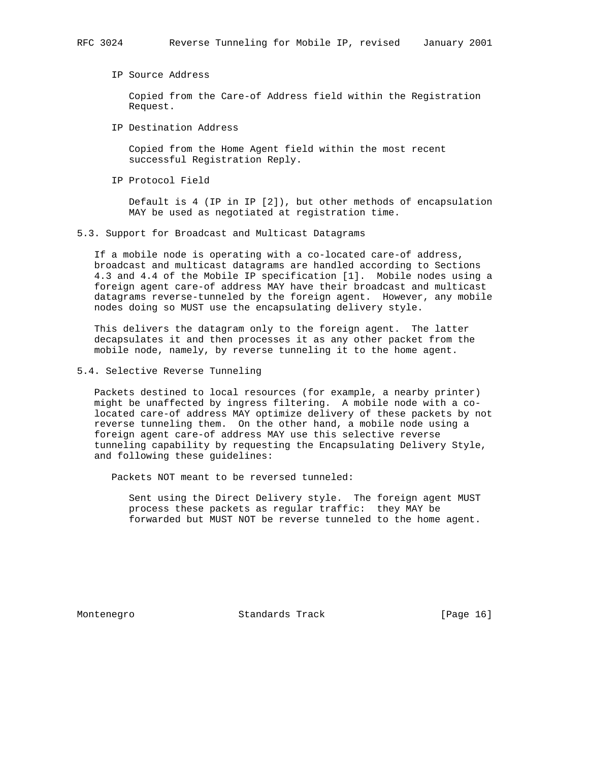IP Source Address

 Copied from the Care-of Address field within the Registration Request.

IP Destination Address

 Copied from the Home Agent field within the most recent successful Registration Reply.

IP Protocol Field

 Default is 4 (IP in IP [2]), but other methods of encapsulation MAY be used as negotiated at registration time.

5.3. Support for Broadcast and Multicast Datagrams

 If a mobile node is operating with a co-located care-of address, broadcast and multicast datagrams are handled according to Sections 4.3 and 4.4 of the Mobile IP specification [1]. Mobile nodes using a foreign agent care-of address MAY have their broadcast and multicast datagrams reverse-tunneled by the foreign agent. However, any mobile nodes doing so MUST use the encapsulating delivery style.

 This delivers the datagram only to the foreign agent. The latter decapsulates it and then processes it as any other packet from the mobile node, namely, by reverse tunneling it to the home agent.

5.4. Selective Reverse Tunneling

 Packets destined to local resources (for example, a nearby printer) might be unaffected by ingress filtering. A mobile node with a co located care-of address MAY optimize delivery of these packets by not reverse tunneling them. On the other hand, a mobile node using a foreign agent care-of address MAY use this selective reverse tunneling capability by requesting the Encapsulating Delivery Style, and following these guidelines:

Packets NOT meant to be reversed tunneled:

 Sent using the Direct Delivery style. The foreign agent MUST process these packets as regular traffic: they MAY be forwarded but MUST NOT be reverse tunneled to the home agent.

Montenegro Standards Track [Page 16]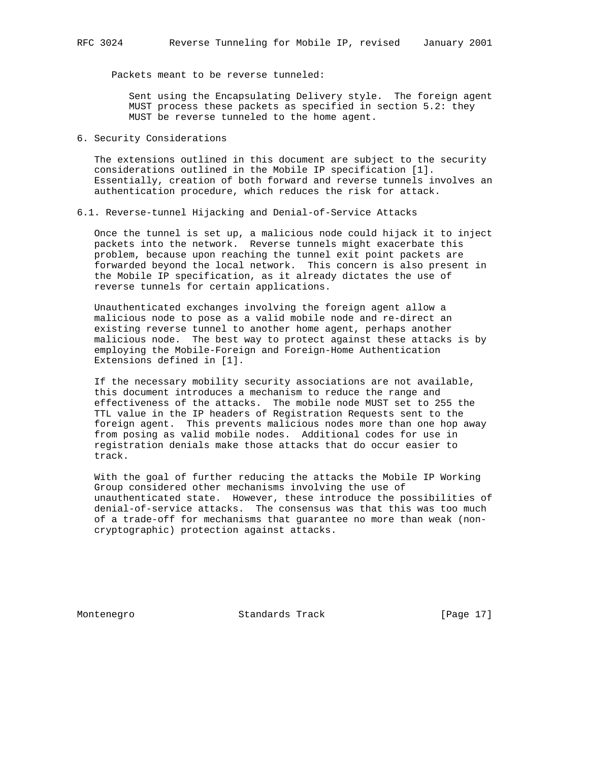Packets meant to be reverse tunneled:

 Sent using the Encapsulating Delivery style. The foreign agent MUST process these packets as specified in section 5.2: they MUST be reverse tunneled to the home agent.

6. Security Considerations

 The extensions outlined in this document are subject to the security considerations outlined in the Mobile IP specification [1]. Essentially, creation of both forward and reverse tunnels involves an authentication procedure, which reduces the risk for attack.

6.1. Reverse-tunnel Hijacking and Denial-of-Service Attacks

 Once the tunnel is set up, a malicious node could hijack it to inject packets into the network. Reverse tunnels might exacerbate this problem, because upon reaching the tunnel exit point packets are forwarded beyond the local network. This concern is also present in the Mobile IP specification, as it already dictates the use of reverse tunnels for certain applications.

 Unauthenticated exchanges involving the foreign agent allow a malicious node to pose as a valid mobile node and re-direct an existing reverse tunnel to another home agent, perhaps another malicious node. The best way to protect against these attacks is by employing the Mobile-Foreign and Foreign-Home Authentication Extensions defined in [1].

 If the necessary mobility security associations are not available, this document introduces a mechanism to reduce the range and effectiveness of the attacks. The mobile node MUST set to 255 the TTL value in the IP headers of Registration Requests sent to the foreign agent. This prevents malicious nodes more than one hop away from posing as valid mobile nodes. Additional codes for use in registration denials make those attacks that do occur easier to track.

 With the goal of further reducing the attacks the Mobile IP Working Group considered other mechanisms involving the use of unauthenticated state. However, these introduce the possibilities of denial-of-service attacks. The consensus was that this was too much of a trade-off for mechanisms that guarantee no more than weak (non cryptographic) protection against attacks.

Montenegro Standards Track [Page 17]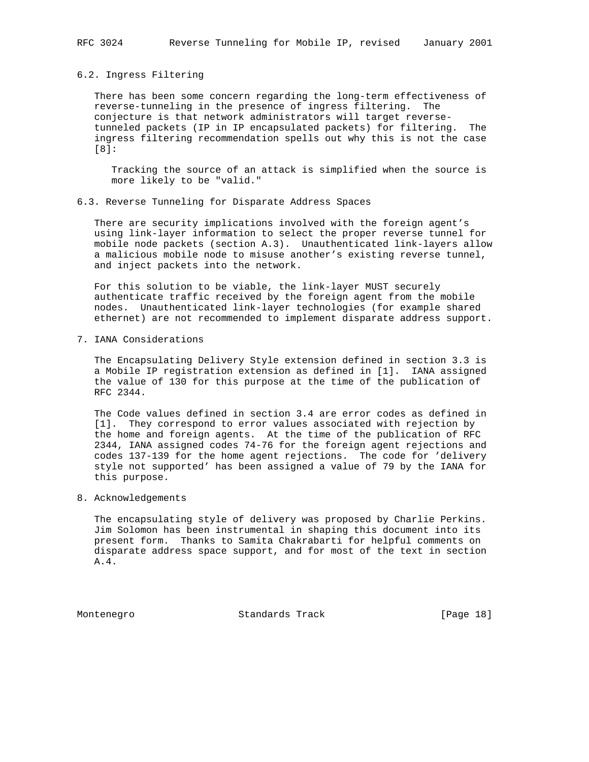### 6.2. Ingress Filtering

 There has been some concern regarding the long-term effectiveness of reverse-tunneling in the presence of ingress filtering. The conjecture is that network administrators will target reverse tunneled packets (IP in IP encapsulated packets) for filtering. The ingress filtering recommendation spells out why this is not the case [8]:

 Tracking the source of an attack is simplified when the source is more likely to be "valid."

6.3. Reverse Tunneling for Disparate Address Spaces

 There are security implications involved with the foreign agent's using link-layer information to select the proper reverse tunnel for mobile node packets (section A.3). Unauthenticated link-layers allow a malicious mobile node to misuse another's existing reverse tunnel, and inject packets into the network.

 For this solution to be viable, the link-layer MUST securely authenticate traffic received by the foreign agent from the mobile nodes. Unauthenticated link-layer technologies (for example shared ethernet) are not recommended to implement disparate address support.

7. IANA Considerations

 The Encapsulating Delivery Style extension defined in section 3.3 is a Mobile IP registration extension as defined in [1]. IANA assigned the value of 130 for this purpose at the time of the publication of RFC 2344.

 The Code values defined in section 3.4 are error codes as defined in [1]. They correspond to error values associated with rejection by the home and foreign agents. At the time of the publication of RFC 2344, IANA assigned codes 74-76 for the foreign agent rejections and codes 137-139 for the home agent rejections. The code for 'delivery style not supported' has been assigned a value of 79 by the IANA for this purpose.

8. Acknowledgements

 The encapsulating style of delivery was proposed by Charlie Perkins. Jim Solomon has been instrumental in shaping this document into its present form. Thanks to Samita Chakrabarti for helpful comments on disparate address space support, and for most of the text in section A.4.

Montenegro Standards Track [Page 18]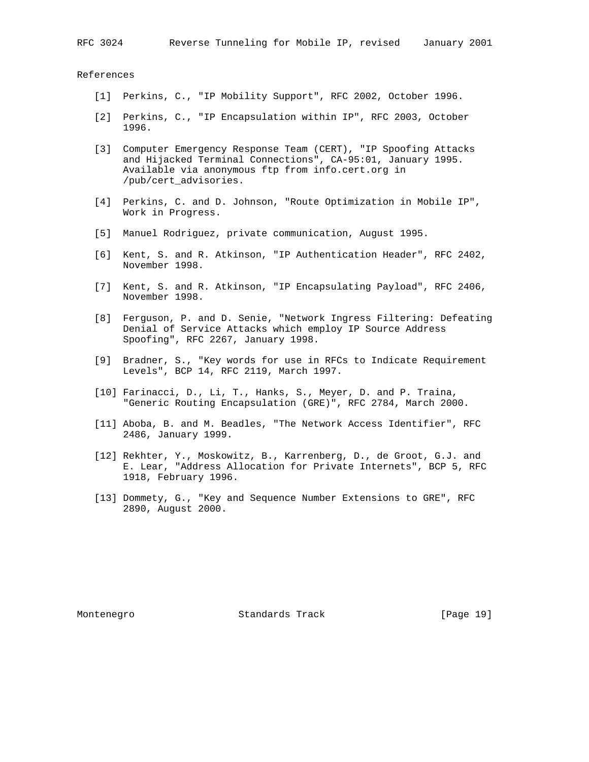References

- [1] Perkins, C., "IP Mobility Support", RFC 2002, October 1996.
- [2] Perkins, C., "IP Encapsulation within IP", RFC 2003, October 1996.
- [3] Computer Emergency Response Team (CERT), "IP Spoofing Attacks and Hijacked Terminal Connections", CA-95:01, January 1995. Available via anonymous ftp from info.cert.org in /pub/cert\_advisories.
- [4] Perkins, C. and D. Johnson, "Route Optimization in Mobile IP", Work in Progress.
- [5] Manuel Rodriguez, private communication, August 1995.
- [6] Kent, S. and R. Atkinson, "IP Authentication Header", RFC 2402, November 1998.
- [7] Kent, S. and R. Atkinson, "IP Encapsulating Payload", RFC 2406, November 1998.
- [8] Ferguson, P. and D. Senie, "Network Ingress Filtering: Defeating Denial of Service Attacks which employ IP Source Address Spoofing", RFC 2267, January 1998.
- [9] Bradner, S., "Key words for use in RFCs to Indicate Requirement Levels", BCP 14, RFC 2119, March 1997.
- [10] Farinacci, D., Li, T., Hanks, S., Meyer, D. and P. Traina, "Generic Routing Encapsulation (GRE)", RFC 2784, March 2000.
- [11] Aboba, B. and M. Beadles, "The Network Access Identifier", RFC 2486, January 1999.
- [12] Rekhter, Y., Moskowitz, B., Karrenberg, D., de Groot, G.J. and E. Lear, "Address Allocation for Private Internets", BCP 5, RFC 1918, February 1996.
- [13] Dommety, G., "Key and Sequence Number Extensions to GRE", RFC 2890, August 2000.

Montenegro Standards Track [Page 19]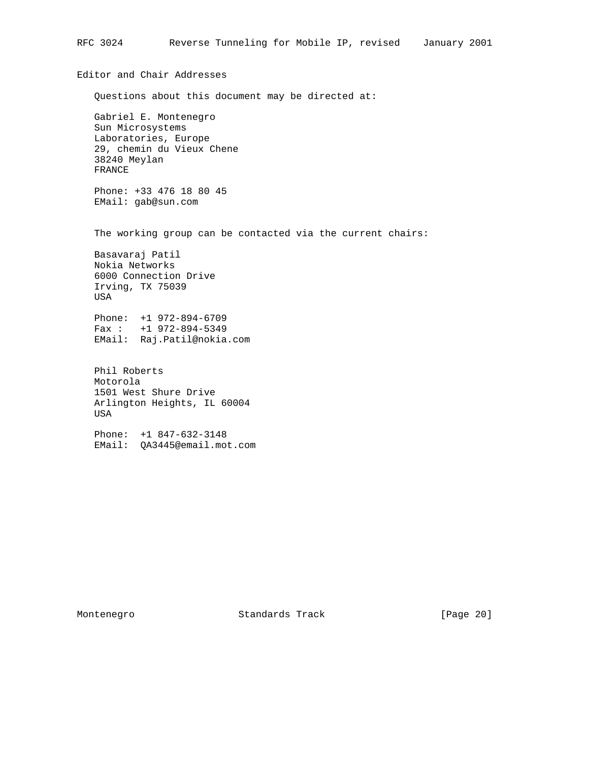Editor and Chair Addresses Questions about this document may be directed at: Gabriel E. Montenegro Sun Microsystems Laboratories, Europe 29, chemin du Vieux Chene 38240 Meylan FRANCE Phone: +33 476 18 80 45 EMail: gab@sun.com The working group can be contacted via the current chairs: Basavaraj Patil Nokia Networks 6000 Connection Drive Irving, TX 75039 USA Phone: +1 972-894-6709 Fax : +1 972-894-5349 EMail: Raj.Patil@nokia.com Phil Roberts Motorola 1501 West Shure Drive Arlington Heights, IL 60004 USA Phone: +1 847-632-3148 EMail: QA3445@email.mot.com

RFC 3024 Reverse Tunneling for Mobile IP, revised January 2001

Montenegro Standards Track [Page 20]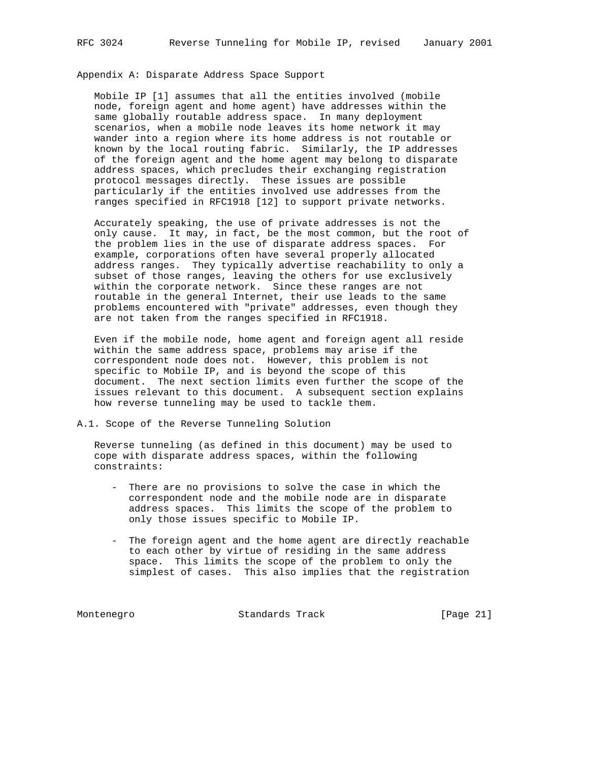Appendix A: Disparate Address Space Support

 Mobile IP [1] assumes that all the entities involved (mobile node, foreign agent and home agent) have addresses within the same globally routable address space. In many deployment scenarios, when a mobile node leaves its home network it may wander into a region where its home address is not routable or known by the local routing fabric. Similarly, the IP addresses of the foreign agent and the home agent may belong to disparate address spaces, which precludes their exchanging registration protocol messages directly. These issues are possible particularly if the entities involved use addresses from the ranges specified in RFC1918 [12] to support private networks.

 Accurately speaking, the use of private addresses is not the only cause. It may, in fact, be the most common, but the root of the problem lies in the use of disparate address spaces. For example, corporations often have several properly allocated address ranges. They typically advertise reachability to only a subset of those ranges, leaving the others for use exclusively within the corporate network. Since these ranges are not routable in the general Internet, their use leads to the same problems encountered with "private" addresses, even though they are not taken from the ranges specified in RFC1918.

 Even if the mobile node, home agent and foreign agent all reside within the same address space, problems may arise if the correspondent node does not. However, this problem is not specific to Mobile IP, and is beyond the scope of this document. The next section limits even further the scope of the issues relevant to this document. A subsequent section explains how reverse tunneling may be used to tackle them.

A.1. Scope of the Reverse Tunneling Solution

 Reverse tunneling (as defined in this document) may be used to cope with disparate address spaces, within the following constraints:

- There are no provisions to solve the case in which the correspondent node and the mobile node are in disparate address spaces. This limits the scope of the problem to only those issues specific to Mobile IP.
- The foreign agent and the home agent are directly reachable to each other by virtue of residing in the same address space. This limits the scope of the problem to only the simplest of cases. This also implies that the registration

Montenegro Standards Track [Page 21]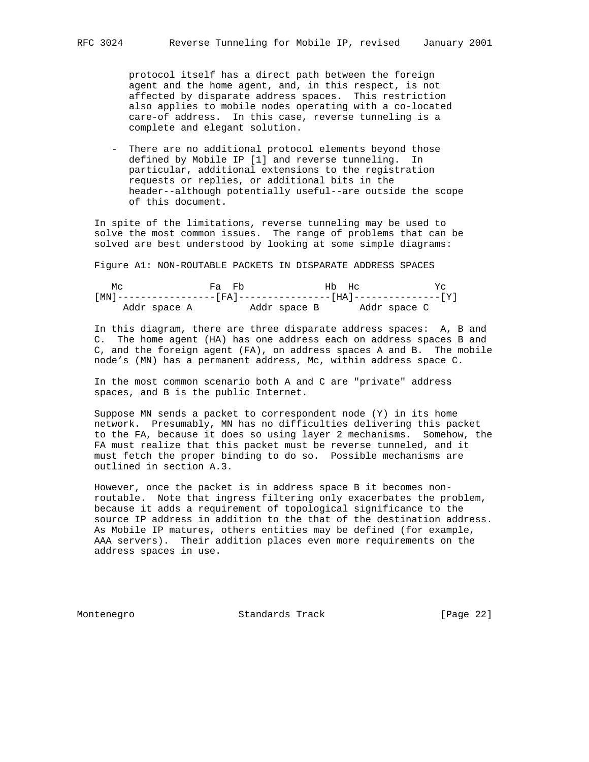protocol itself has a direct path between the foreign agent and the home agent, and, in this respect, is not affected by disparate address spaces. This restriction also applies to mobile nodes operating with a co-located care-of address. In this case, reverse tunneling is a complete and elegant solution.

 - There are no additional protocol elements beyond those defined by Mobile IP [1] and reverse tunneling. In particular, additional extensions to the registration requests or replies, or additional bits in the header--although potentially useful--are outside the scope of this document.

 In spite of the limitations, reverse tunneling may be used to solve the most common issues. The range of problems that can be solved are best understood by looking at some simple diagrams:

Figure A1: NON-ROUTABLE PACKETS IN DISPARATE ADDRESS SPACES

| Мc |              | Fa Fb |                                   | Hb Hc | Υc                                                                                              |
|----|--------------|-------|-----------------------------------|-------|-------------------------------------------------------------------------------------------------|
|    |              |       |                                   |       | [ MN ] -----------------        [ FA ] ---------------        [ HA ] -------------        [ Y ] |
|    | Addr space A |       | Addr space B         Addr space C |       |                                                                                                 |

 In this diagram, there are three disparate address spaces: A, B and C. The home agent (HA) has one address each on address spaces B and C, and the foreign agent (FA), on address spaces A and B. The mobile node's (MN) has a permanent address, Mc, within address space C.

 In the most common scenario both A and C are "private" address spaces, and B is the public Internet.

 Suppose MN sends a packet to correspondent node (Y) in its home network. Presumably, MN has no difficulties delivering this packet to the FA, because it does so using layer 2 mechanisms. Somehow, the FA must realize that this packet must be reverse tunneled, and it must fetch the proper binding to do so. Possible mechanisms are outlined in section A.3.

 However, once the packet is in address space B it becomes non routable. Note that ingress filtering only exacerbates the problem, because it adds a requirement of topological significance to the source IP address in addition to the that of the destination address. As Mobile IP matures, others entities may be defined (for example, AAA servers). Their addition places even more requirements on the address spaces in use.

Montenegro Standards Track [Page 22]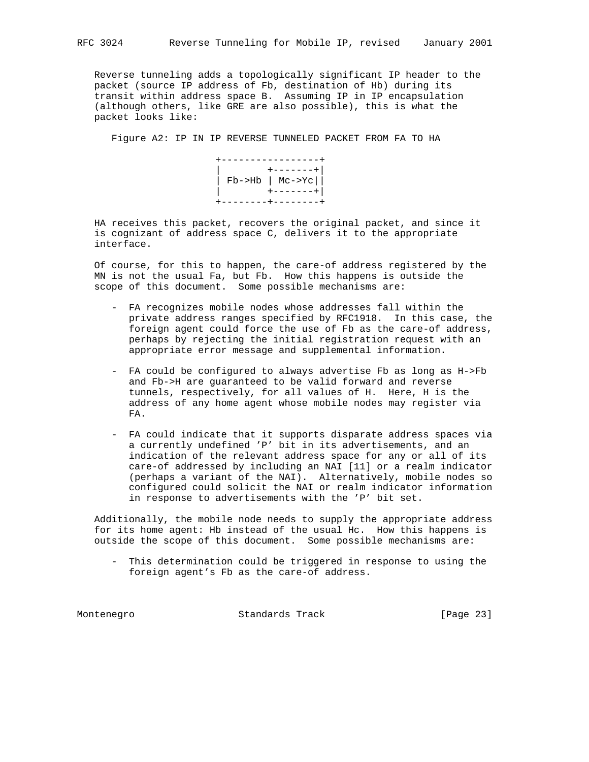Reverse tunneling adds a topologically significant IP header to the packet (source IP address of Fb, destination of Hb) during its transit within address space B. Assuming IP in IP encapsulation (although others, like GRE are also possible), this is what the packet looks like:

Figure A2: IP IN IP REVERSE TUNNELED PACKET FROM FA TO HA



 HA receives this packet, recovers the original packet, and since it is cognizant of address space C, delivers it to the appropriate interface.

 Of course, for this to happen, the care-of address registered by the MN is not the usual Fa, but Fb. How this happens is outside the scope of this document. Some possible mechanisms are:

- FA recognizes mobile nodes whose addresses fall within the private address ranges specified by RFC1918. In this case, the foreign agent could force the use of Fb as the care-of address, perhaps by rejecting the initial registration request with an appropriate error message and supplemental information.
- FA could be configured to always advertise Fb as long as H->Fb and Fb->H are guaranteed to be valid forward and reverse tunnels, respectively, for all values of H. Here, H is the address of any home agent whose mobile nodes may register via FA.
- FA could indicate that it supports disparate address spaces via a currently undefined 'P' bit in its advertisements, and an indication of the relevant address space for any or all of its care-of addressed by including an NAI [11] or a realm indicator (perhaps a variant of the NAI). Alternatively, mobile nodes so configured could solicit the NAI or realm indicator information in response to advertisements with the 'P' bit set.

 Additionally, the mobile node needs to supply the appropriate address for its home agent: Hb instead of the usual Hc. How this happens is outside the scope of this document. Some possible mechanisms are:

 - This determination could be triggered in response to using the foreign agent's Fb as the care-of address.

Montenegro Standards Track [Page 23]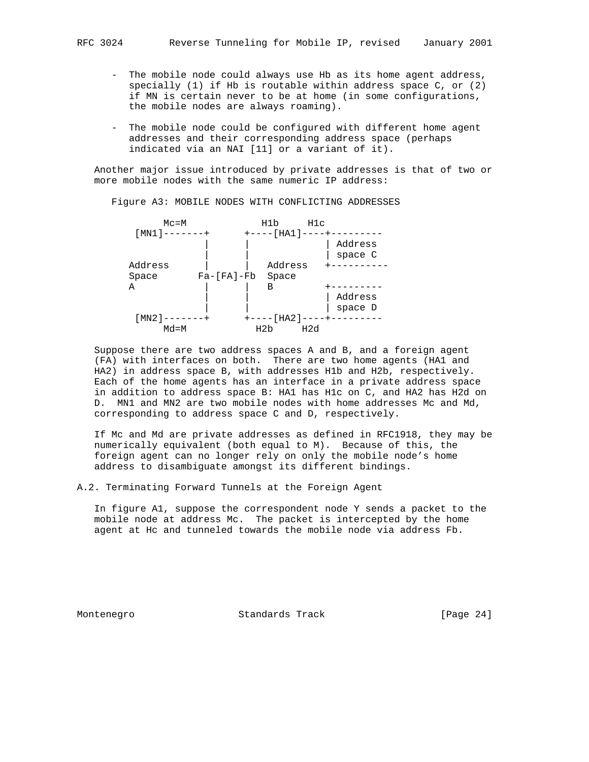- The mobile node could always use Hb as its home agent address, specially (1) if Hb is routable within address space C, or (2) if MN is certain never to be at home (in some configurations, the mobile nodes are always roaming).
- The mobile node could be configured with different home agent addresses and their corresponding address space (perhaps indicated via an NAI [11] or a variant of it).

 Another major issue introduced by private addresses is that of two or more mobile nodes with the same numeric IP address:



Figure A3: MOBILE NODES WITH CONFLICTING ADDRESSES

 Suppose there are two address spaces A and B, and a foreign agent (FA) with interfaces on both. There are two home agents (HA1 and HA2) in address space B, with addresses H1b and H2b, respectively. Each of the home agents has an interface in a private address space in addition to address space B: HA1 has H1c on C, and HA2 has H2d on D. MN1 and MN2 are two mobile nodes with home addresses Mc and Md, corresponding to address space C and D, respectively.

 If Mc and Md are private addresses as defined in RFC1918, they may be numerically equivalent (both equal to M). Because of this, the foreign agent can no longer rely on only the mobile node's home address to disambiguate amongst its different bindings.

A.2. Terminating Forward Tunnels at the Foreign Agent

 In figure A1, suppose the correspondent node Y sends a packet to the mobile node at address Mc. The packet is intercepted by the home agent at Hc and tunneled towards the mobile node via address Fb.

Montenegro Standards Track [Page 24]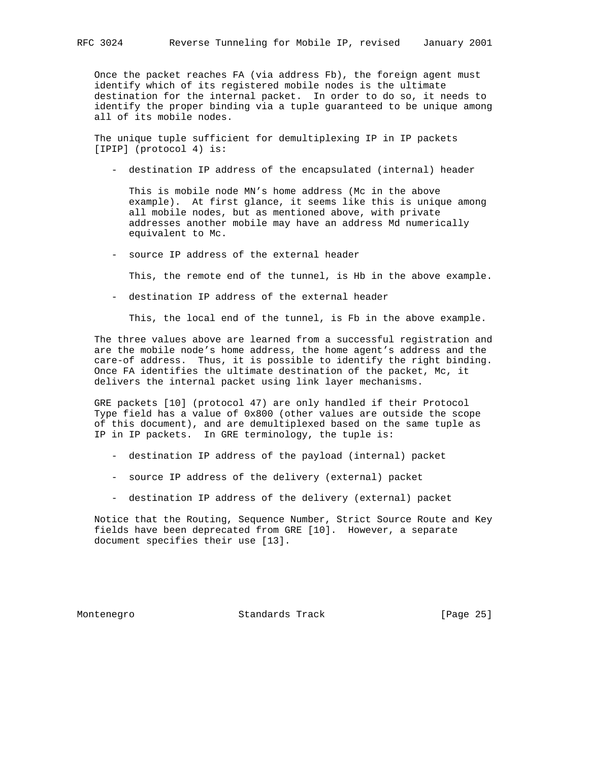Once the packet reaches FA (via address Fb), the foreign agent must identify which of its registered mobile nodes is the ultimate destination for the internal packet. In order to do so, it needs to identify the proper binding via a tuple guaranteed to be unique among all of its mobile nodes.

 The unique tuple sufficient for demultiplexing IP in IP packets [IPIP] (protocol 4) is:

- destination IP address of the encapsulated (internal) header

 This is mobile node MN's home address (Mc in the above example). At first glance, it seems like this is unique among all mobile nodes, but as mentioned above, with private addresses another mobile may have an address Md numerically equivalent to Mc.

- source IP address of the external header

This, the remote end of the tunnel, is Hb in the above example.

- destination IP address of the external header

This, the local end of the tunnel, is Fb in the above example.

 The three values above are learned from a successful registration and are the mobile node's home address, the home agent's address and the care-of address. Thus, it is possible to identify the right binding. Once FA identifies the ultimate destination of the packet, Mc, it delivers the internal packet using link layer mechanisms.

 GRE packets [10] (protocol 47) are only handled if their Protocol Type field has a value of 0x800 (other values are outside the scope of this document), and are demultiplexed based on the same tuple as IP in IP packets. In GRE terminology, the tuple is:

- destination IP address of the payload (internal) packet
- source IP address of the delivery (external) packet
- destination IP address of the delivery (external) packet

 Notice that the Routing, Sequence Number, Strict Source Route and Key fields have been deprecated from GRE [10]. However, a separate document specifies their use [13].

Montenegro Standards Track [Page 25]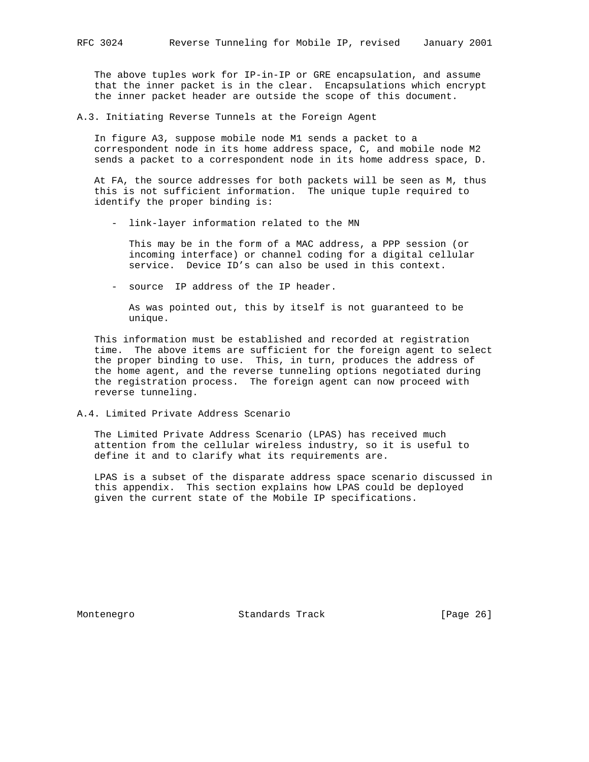The above tuples work for IP-in-IP or GRE encapsulation, and assume that the inner packet is in the clear. Encapsulations which encrypt the inner packet header are outside the scope of this document.

A.3. Initiating Reverse Tunnels at the Foreign Agent

 In figure A3, suppose mobile node M1 sends a packet to a correspondent node in its home address space, C, and mobile node M2 sends a packet to a correspondent node in its home address space, D.

 At FA, the source addresses for both packets will be seen as M, thus this is not sufficient information. The unique tuple required to identify the proper binding is:

- link-layer information related to the MN

 This may be in the form of a MAC address, a PPP session (or incoming interface) or channel coding for a digital cellular service. Device ID's can also be used in this context.

- source IP address of the IP header.

 As was pointed out, this by itself is not guaranteed to be unique.

 This information must be established and recorded at registration time. The above items are sufficient for the foreign agent to select the proper binding to use. This, in turn, produces the address of the home agent, and the reverse tunneling options negotiated during the registration process. The foreign agent can now proceed with reverse tunneling.

A.4. Limited Private Address Scenario

 The Limited Private Address Scenario (LPAS) has received much attention from the cellular wireless industry, so it is useful to define it and to clarify what its requirements are.

 LPAS is a subset of the disparate address space scenario discussed in this appendix. This section explains how LPAS could be deployed given the current state of the Mobile IP specifications.

Montenegro Standards Track [Page 26]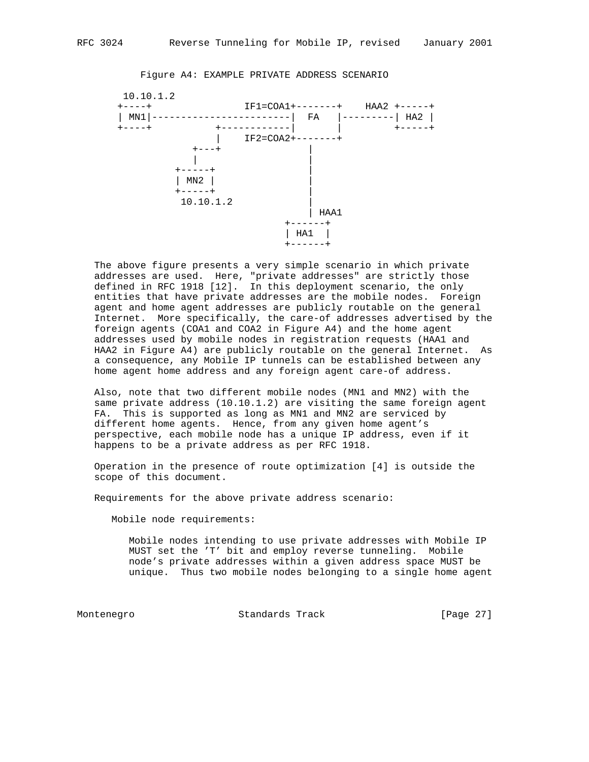

Figure A4: EXAMPLE PRIVATE ADDRESS SCENARIO

 The above figure presents a very simple scenario in which private addresses are used. Here, "private addresses" are strictly those defined in RFC 1918 [12]. In this deployment scenario, the only entities that have private addresses are the mobile nodes. Foreign agent and home agent addresses are publicly routable on the general Internet. More specifically, the care-of addresses advertised by the foreign agents (COA1 and COA2 in Figure A4) and the home agent addresses used by mobile nodes in registration requests (HAA1 and HAA2 in Figure A4) are publicly routable on the general Internet. As a consequence, any Mobile IP tunnels can be established between any home agent home address and any foreign agent care-of address.

 Also, note that two different mobile nodes (MN1 and MN2) with the same private address (10.10.1.2) are visiting the same foreign agent FA. This is supported as long as MN1 and MN2 are serviced by different home agents. Hence, from any given home agent's perspective, each mobile node has a unique IP address, even if it happens to be a private address as per RFC 1918.

 Operation in the presence of route optimization [4] is outside the scope of this document.

Requirements for the above private address scenario:

Mobile node requirements:

 Mobile nodes intending to use private addresses with Mobile IP MUST set the 'T' bit and employ reverse tunneling. Mobile node's private addresses within a given address space MUST be unique. Thus two mobile nodes belonging to a single home agent

Montenegro Standards Track [Page 27]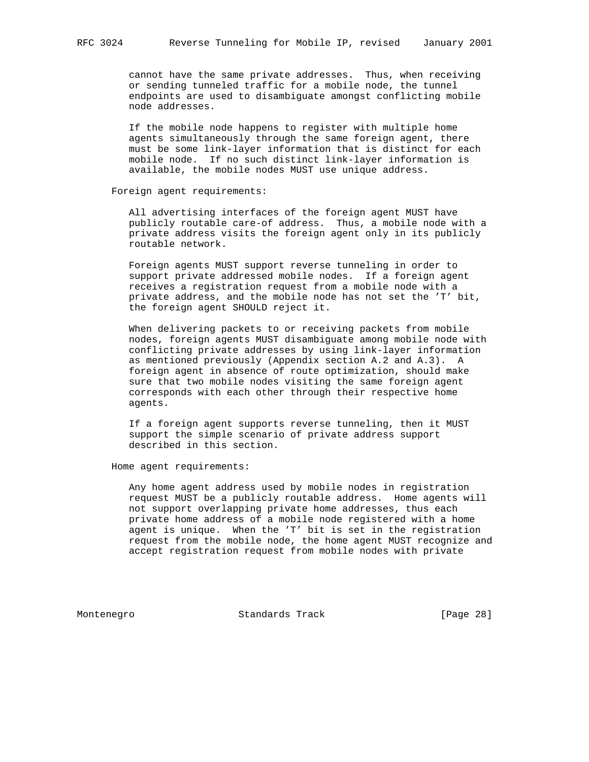cannot have the same private addresses. Thus, when receiving or sending tunneled traffic for a mobile node, the tunnel endpoints are used to disambiguate amongst conflicting mobile node addresses.

 If the mobile node happens to register with multiple home agents simultaneously through the same foreign agent, there must be some link-layer information that is distinct for each mobile node. If no such distinct link-layer information is available, the mobile nodes MUST use unique address.

Foreign agent requirements:

 All advertising interfaces of the foreign agent MUST have publicly routable care-of address. Thus, a mobile node with a private address visits the foreign agent only in its publicly routable network.

 Foreign agents MUST support reverse tunneling in order to support private addressed mobile nodes. If a foreign agent receives a registration request from a mobile node with a private address, and the mobile node has not set the 'T' bit, the foreign agent SHOULD reject it.

 When delivering packets to or receiving packets from mobile nodes, foreign agents MUST disambiguate among mobile node with conflicting private addresses by using link-layer information as mentioned previously (Appendix section A.2 and A.3). A foreign agent in absence of route optimization, should make sure that two mobile nodes visiting the same foreign agent corresponds with each other through their respective home agents.

 If a foreign agent supports reverse tunneling, then it MUST support the simple scenario of private address support described in this section.

Home agent requirements:

 Any home agent address used by mobile nodes in registration request MUST be a publicly routable address. Home agents will not support overlapping private home addresses, thus each private home address of a mobile node registered with a home agent is unique. When the 'T' bit is set in the registration request from the mobile node, the home agent MUST recognize and accept registration request from mobile nodes with private

Montenegro Standards Track [Page 28]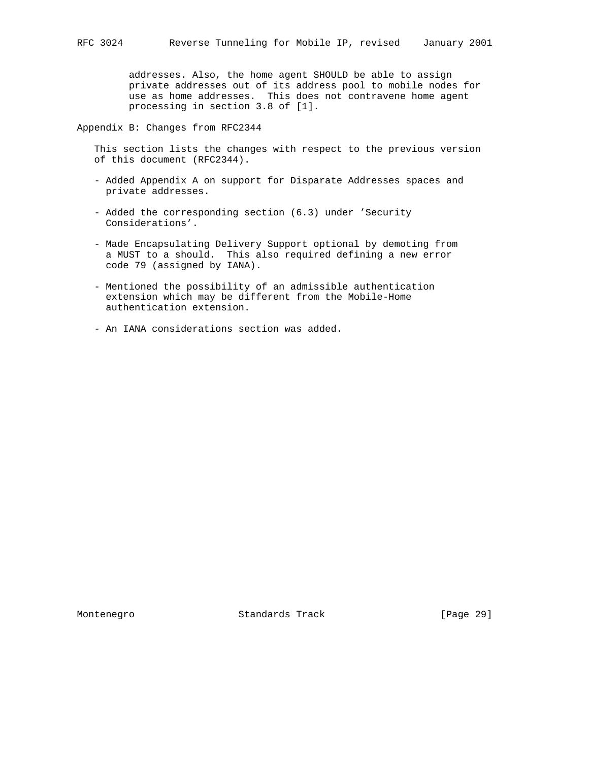addresses. Also, the home agent SHOULD be able to assign private addresses out of its address pool to mobile nodes for use as home addresses. This does not contravene home agent processing in section 3.8 of [1].

Appendix B: Changes from RFC2344

 This section lists the changes with respect to the previous version of this document (RFC2344).

- Added Appendix A on support for Disparate Addresses spaces and private addresses.
- Added the corresponding section (6.3) under 'Security Considerations'.
- Made Encapsulating Delivery Support optional by demoting from a MUST to a should. This also required defining a new error code 79 (assigned by IANA).
- Mentioned the possibility of an admissible authentication extension which may be different from the Mobile-Home authentication extension.
- An IANA considerations section was added.

Montenegro Standards Track [Page 29]